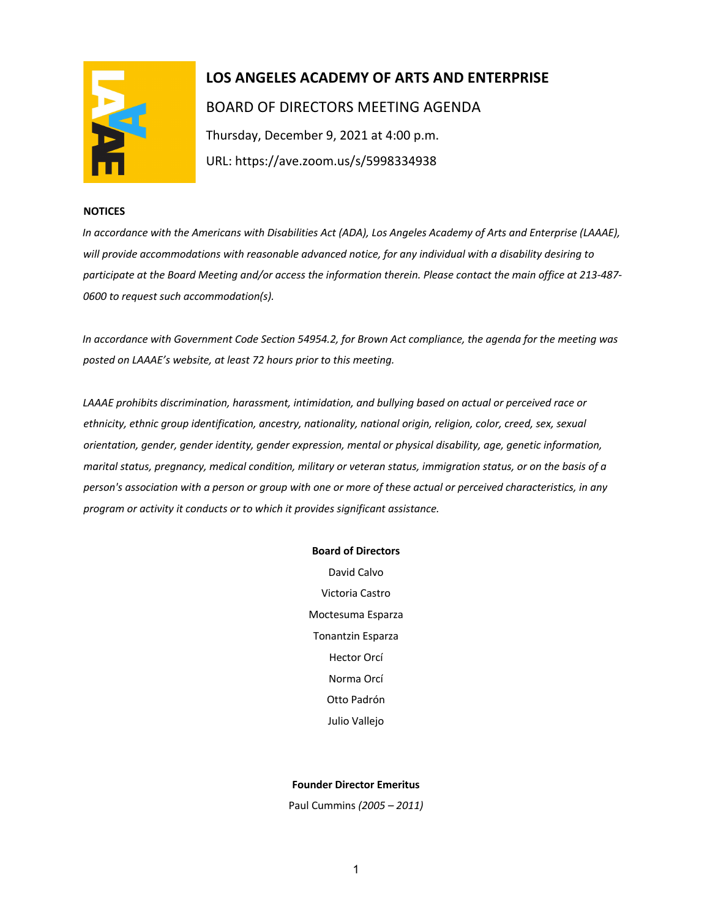

# **LOS ANGELES ACADEMY OF ARTS AND ENTERPRISE**  BOARD OF DIRECTORS MEETING AGENDA Thursday, December 9, 2021 at 4:00 p.m. URL: https://ave.zoom.us/s/5998334938

## **NOTICES**

*In accordance with the Americans with Disabilities Act (ADA), Los Angeles Academy of Arts and Enterprise (LAAAE), will provide accommodations with reasonable advanced notice, for any individual with a disability desiring to participate at the Board Meeting and/or access the information therein. Please contact the main office at 213-487- 0600 to request such accommodation(s).* 

*In accordance with Government Code Section 54954.2, for Brown Act compliance, the agenda for the meeting was posted on LAAAE's website, at least 72 hours prior to this meeting.* 

*LAAAE prohibits discrimination, harassment, intimidation, and bullying based on actual or perceived race or ethnicity, ethnic group identification, ancestry, nationality, national origin, religion, color, creed, sex, sexual orientation, gender, gender identity, gender expression, mental or physical disability, age, genetic information, marital status, pregnancy, medical condition, military or veteran status, immigration status, or on the basis of a person's association with a person or group with one or more of these actual or perceived characteristics, in any program or activity it conducts or to which it provides significant assistance.* 

#### **Board of Directors**

David Calvo Victoria Castro Moctesuma Esparza Tonantzin Esparza Hector Orcí Norma Orcí Otto Padrón Julio Vallejo

## **Founder Director Emeritus**

Paul Cummins *(2005 – 2011)*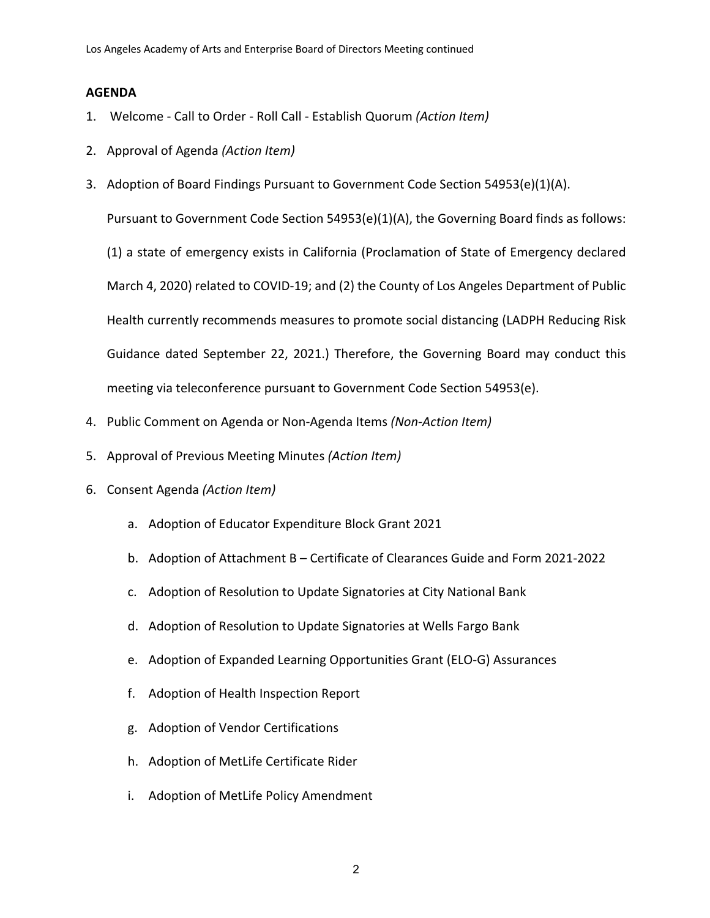# **AGENDA**

- 1. Welcome Call to Order Roll Call Establish Quorum *(Action Item)*
- 2. Approval of Agenda *(Action Item)*
- 3. Adoption of Board Findings Pursuant to Government Code Section 54953(e)(1)(A).

Pursuant to Government Code Section 54953(e)(1)(A), the Governing Board finds as follows:

(1) a state of emergency exists in California (Proclamation of State of Emergency declared March 4, 2020) related to COVID-19; and (2) the County of Los Angeles Department of Public Health currently recommends measures to promote social distancing (LADPH Reducing Risk Guidance dated September 22, 2021.) Therefore, the Governing Board may conduct this meeting via teleconference pursuant to Government Code Section 54953(e).

- 4. Public Comment on Agenda or Non-Agenda Items *(Non-Action Item)*
- 5. Approval of Previous Meeting Minutes *(Action Item)*
- 6. Consent Agenda *(Action Item)*
	- a. Adoption of Educator Expenditure Block Grant 2021
	- b. Adoption of Attachment B Certificate of Clearances Guide and Form 2021-2022
	- c. Adoption of Resolution to Update Signatories at City National Bank
	- d. Adoption of Resolution to Update Signatories at Wells Fargo Bank
	- e. Adoption of Expanded Learning Opportunities Grant (ELO-G) Assurances
	- f. Adoption of Health Inspection Report
	- g. Adoption of Vendor Certifications
	- h. Adoption of MetLife Certificate Rider
	- i. Adoption of MetLife Policy Amendment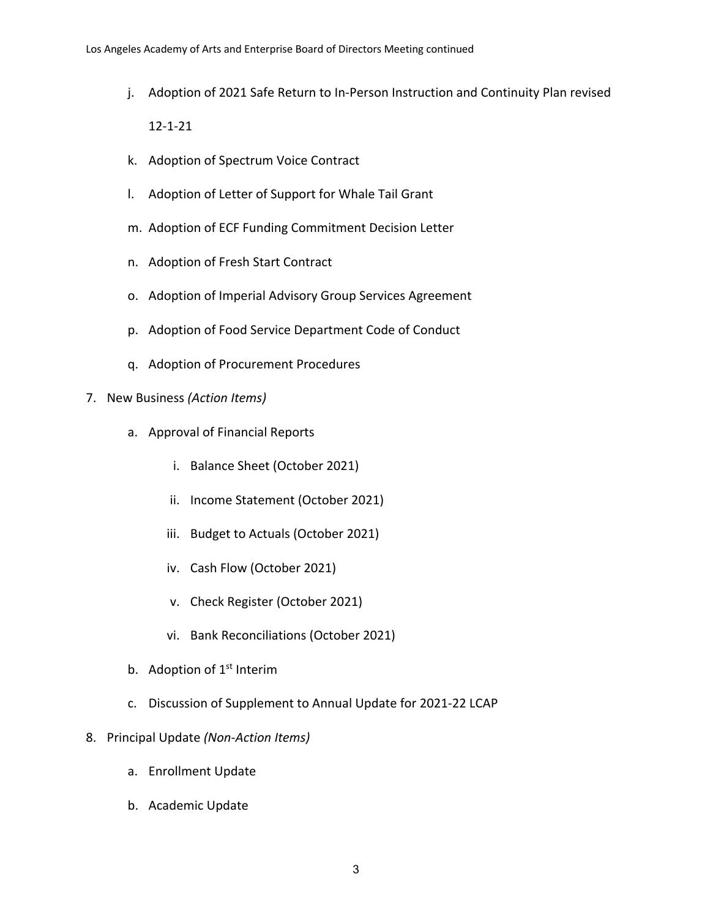- j. Adoption of 2021 Safe Return to In-Person Instruction and Continuity Plan revised 12-1-21
- k. Adoption of Spectrum Voice Contract
- l. Adoption of Letter of Support for Whale Tail Grant
- m. Adoption of ECF Funding Commitment Decision Letter
- n. Adoption of Fresh Start Contract
- o. Adoption of Imperial Advisory Group Services Agreement
- p. Adoption of Food Service Department Code of Conduct
- q. Adoption of Procurement Procedures
- 7. New Business *(Action Items)*
	- a. Approval of Financial Reports
		- i. Balance Sheet (October 2021)
		- ii. Income Statement (October 2021)
		- iii. Budget to Actuals (October 2021)
		- iv. Cash Flow (October 2021)
		- v. Check Register (October 2021)
		- vi. Bank Reconciliations (October 2021)
	- b. Adoption of  $1<sup>st</sup>$  Interim
	- c. Discussion of Supplement to Annual Update for 2021-22 LCAP
- 8. Principal Update *(Non-Action Items)*
	- a. Enrollment Update
	- b. Academic Update